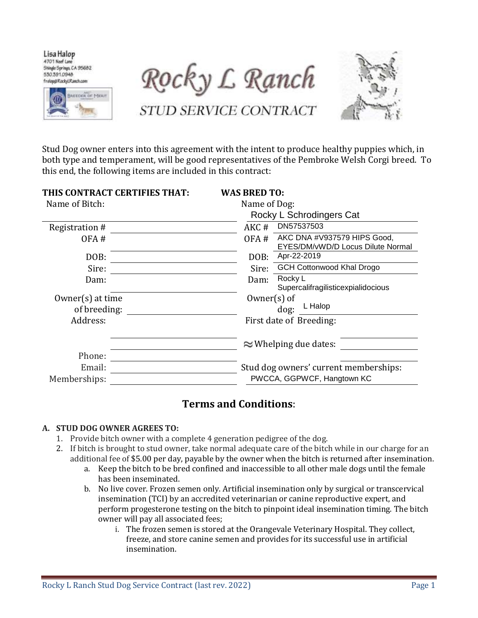Lisa Halop 4701 Neef Lane Shingle Springs, CA 95682 530,391,0948 frelag@RackyLRanch.com



Rocky L Ranch

STUD SERVICE CONTRACT



Stud Dog owner enters into this agreement with the intent to produce healthy puppies which, in both type and temperament, will be good representatives of the Pembroke Welsh Corgi breed. To this end, the following items are included in this contract:

| THIS CONTRACT CERTIFIES THAT: | <b>WAS BRED TO:</b>                                                      |  |  |
|-------------------------------|--------------------------------------------------------------------------|--|--|
| Name of Bitch:                | Name of Dog:                                                             |  |  |
|                               | Rocky L Schrodingers Cat                                                 |  |  |
| Registration #                | DN57537503<br>AKC#                                                       |  |  |
| OFA#                          | AKC DNA #V937579 HIPS Good,<br>OFA#<br>EYES/DM/vWD/D Locus Dilute Normal |  |  |
| DOB:                          | Apr-22-2019<br>DOB:                                                      |  |  |
| Sire:                         | <b>GCH Cottonwood Khal Drogo</b><br>Sire:                                |  |  |
| Dam:                          | Rocky L<br>Dam:<br>Supercalifragilisticexpialidocious                    |  |  |
| $0$ wner $(s)$ at time        | $0$ wner $(s)$ of                                                        |  |  |
| of breeding:                  | L Halop<br>dog:                                                          |  |  |
| Address:                      | First date of Breeding:                                                  |  |  |
|                               | $\approx$ Whelping due dates:                                            |  |  |
| Phone:                        |                                                                          |  |  |
| Email:                        | Stud dog owners' current memberships:                                    |  |  |
| Memberships:                  | PWCCA, GGPWCF, Hangtown KC                                               |  |  |

# **Terms and Conditions**:

#### **A. STUD DOG OWNER AGREES TO:**

- 1. Provide bitch owner with a complete 4 generation pedigree of the dog.
- 2. If bitch is brought to stud owner, take normal adequate care of the bitch while in our charge for an additional fee of \$5.00 per day, payable by the owner when the bitch is returned after insemination.
	- a. Keep the bitch to be bred confined and inaccessible to all other male dogs until the female has been inseminated.
	- b. No live cover. Frozen semen only. Artificial insemination only by surgical or transcervical insemination (TCI) by an accredited veterinarian or canine reproductive expert, and perform progesterone testing on the bitch to pinpoint ideal insemination timing. The bitch owner will pay all associated fees;
		- i. The frozen semen is stored at the Orangevale Veterinary Hospital. They collect, freeze, and store canine semen and provides for its successful use in artificial insemination.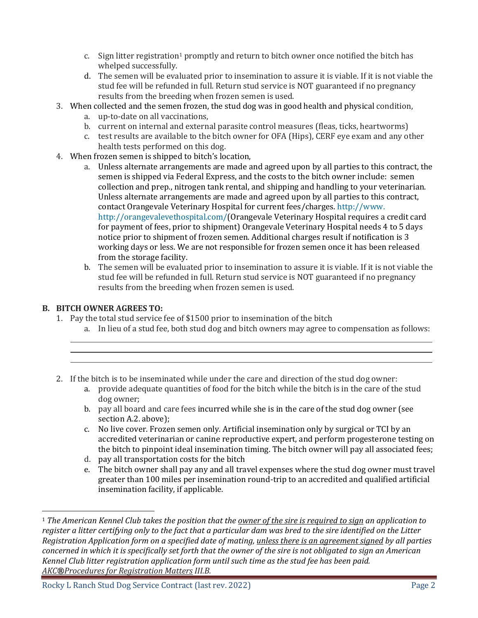- c. Sign litter registration<sup>1</sup> promptly and return to bitch owner once notified the bitch has whelped successfully.
- d. The semen will be evaluated prior to insemination to assure it is viable. If it is not viable the stud fee will be refunded in full. Return stud service is NOT guaranteed if no pregnancy results from the breeding when frozen semen is used.
- 3. When collected and the semen frozen, the stud dog was in good health and physical condition,
	- a. up-to-date on all vaccinations,
	- b. current on internal and external parasite control measures (fleas, ticks, heartworms)
	- c. test results are available to the bitch owner for OFA (Hips), CERF eye exam and any other health tests performed on this dog.
- 4. When frozen semen is shipped to bitch's location,
	- a. Unless alternate arrangements are made and agreed upon by all parties to this contract, the semen is shipped via Federal Express, and the costs to the bitch owner include: semen collection and prep., nitrogen tank rental, and shipping and handling to your veterinarian. Unless alternate arrangements are made and agreed upon by all parties to this contract, contact Orangevale Veterinary Hospital for current fees/charges. http://www. http://orangevalevethospital.com/(Orangevale Veterinary Hospital requires a credit card for payment of fees, prior to shipment) Orangevale Veterinary Hospital needs 4 to 5 days notice prior to shipment of frozen semen. Additional charges result if notification is 3 working days or less. We are not responsible for frozen semen once it has been released from the storage facility.
	- b. The semen will be evaluated prior to insemination to assure it is viable. If it is not viable the stud fee will be refunded in full. Return stud service is NOT guaranteed if no pregnancy results from the breeding when frozen semen is used.

# **B. BITCH OWNER AGREES TO:**

 $\overline{\phantom{a}}$ 

- 1. Pay the total stud service fee of \$1500 prior to insemination of the bitch
	- a. In lieu of a stud fee, both stud dog and bitch owners may agree to compensation as follows:
	- 2. If the bitch is to be inseminated while under the care and direction of the stud dog owner:
		- a. provide adequate quantities of food for the bitch while the bitch is in the care of the stud dog owner;
		- b. pay all board and care fees incurred while she is in the care of the stud dog owner (see section A.2. above);
		- c. No live cover. Frozen semen only. Artificial insemination only by surgical or TCI by an accredited veterinarian or canine reproductive expert, and perform progesterone testing on the bitch to pinpoint ideal insemination timing. The bitch owner will pay all associated fees;
		- d. pay all transportation costs for the bitch
		- e. The bitch owner shall pay any and all travel expenses where the stud dog owner must travel greater than 100 miles per insemination round-trip to an accredited and qualified artificial insemination facility, if applicable.

<sup>1</sup> *The [American Kennel Club](http://www.akc.org/registration/policies/index.cfm?page=4) takes the position that the owner of the sire is required to sign an application to register a litter certifying only to the fact that a particular dam was bred to the sire identified on the Litter Registration Application form on a specified date of mating, unless there is an agreement signed by all parties concerned in which it is specifically set forth that the owner of the sire is not obligated to sign an American Kennel Club litter registration application form until such time as the stud fee has been paid. AKC®Procedures for Registration Matters III.B.*

Rocky L Ranch Stud Dog Service Contract (last rev. 2022) Page 2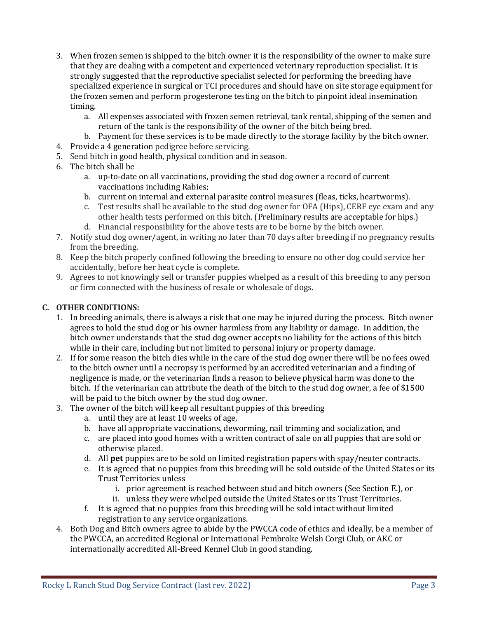- 3. When frozen semen is shipped to the bitch owner it is the responsibility of the owner to make sure that they are dealing with a competent and experienced veterinary reproduction specialist. It is strongly suggested that the reproductive specialist selected for performing the breeding have specialized experience in surgical or TCI procedures and should have on site storage equipment for the frozen semen and perform progesterone testing on the bitch to pinpoint ideal insemination timing.
	- a. All expenses associated with frozen semen retrieval, tank rental, shipping of the semen and return of the tank is the responsibility of the owner of the bitch being bred.
	- b. Payment for these services is to be made directly to the storage facility by the bitch owner.
- 4. Provide a 4 generation pedigree before servicing.
- 5. Send bitch in good health, physical condition and in season.
- 6. The bitch shall be
	- a. up-to-date on all vaccinations, providing the stud dog owner a record of current vaccinations including Rabies;
	- b. current on internal and external parasite control measures (fleas, ticks, heartworms).
	- c. Test results shall be available to the stud dog owner for OFA (Hips), CERF eye exam and any other health tests performed on this bitch. (Preliminary results are acceptable for hips.)
	- d. Financial responsibility for the above tests are to be borne by the bitch owner.
- 7. Notify stud dog owner/agent, in writing no later than 70 days after breeding if no pregnancy results from the breeding.
- 8. Keep the bitch properly confined following the breeding to ensure no other dog could service her accidentally, before her heat cycle is complete.
- 9. Agrees to not knowingly sell or transfer puppies whelped as a result of this breeding to any person or firm connected with the business of resale or wholesale of dogs.

### **C. OTHER CONDITIONS:**

- 1. In breeding animals, there is always a risk that one may be injured during the process. Bitch owner agrees to hold the stud dog or his owner harmless from any liability or damage. In addition, the bitch owner understands that the stud dog owner accepts no liability for the actions of this bitch while in their care, including but not limited to personal injury or property damage.
- 2. If for some reason the bitch dies while in the care of the stud dog owner there will be no fees owed to the bitch owner until a necropsy is performed by an accredited veterinarian and a finding of negligence is made, or the veterinarian finds a reason to believe physical harm was done to the bitch. If the veterinarian can attribute the death of the bitch to the stud dog owner, a fee of \$1500 will be paid to the bitch owner by the stud dog owner.
- 3. The owner of the bitch will keep all resultant puppies of this breeding
	- a. until they are at least 10 weeks of age,
	- b. have all appropriate vaccinations, deworming, nail trimming and socialization, and
	- c. are placed into good homes with a written contract of sale on all puppies that are sold or otherwise placed.
	- d. All **pet** puppies are to be sold on limited registration papers with spay/neuter contracts.
	- e. It is agreed that no puppies from this breeding will be sold outside of the United States or its Trust Territories unless
		- i. prior agreement is reached between stud and bitch owners (See Section E.), or
		- ii. unless they were whelped outside the United States or its Trust Territories.
	- f. It is agreed that no puppies from this breeding will be sold intact without limited registration to any service organizations.
- 4. Both Dog and Bitch owners agree to abide by the PWCCA code of ethics and ideally, be a member of the PWCCA, an accredited Regional or International Pembroke Welsh Corgi Club, or AKC or internationally accredited All-Breed Kennel Club in good standing.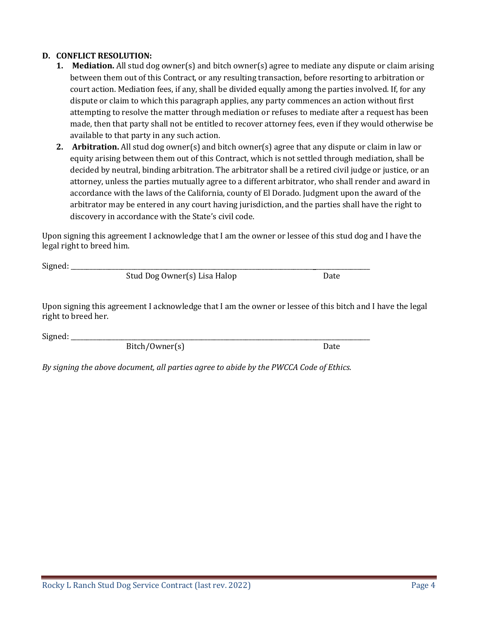**D. CONFLICT RESOLUTION:**

between them out of this Contract, or any resulting transaction, before resorting to arbitration or court action. Mediation fees, if any, shall be divided equally among the parties involved. If, for any dispute or claim to which this paragraph applies, any party commences an action without first attempting to resolve the matter through mediation or refuses to mediate after a request has been made, then that party shall not be entitled to recover attorney fees, even if they would otherwise be available to that party in any such action.

**1. Mediation.** All stud dog owner(s) and bitch owner(s) agree to mediate any dispute or claim arising

**2. Arbitration.** All stud dog owner(s) and bitch owner(s) agree that any dispute or claim in law or equity arising between them out of this Contract, which is not settled through mediation, shall be decided by neutral, binding arbitration. The arbitrator shall be a retired civil judge or justice, or an attorney, unless the parties mutually agree to a different arbitrator, who shall render and award in accordance with the laws of the California, county of El Dorado. Judgment upon the award of the arbitrator may be entered in any court having jurisdiction, and the parties shall have the right to discovery in accordance with the State's civil code.

Upon signing this agreement I acknowledge that I am the owner or lessee of this stud dog and I have the legal right to breed him.

 $Signed:$ 

Stud Dog Owner(s) Lisa Halop Date

Upon signing this agreement I acknowledge that I am the owner or lessee of this bitch and I have the legal right to breed her.

Signed:

Bitch/Owner(s) Date

*By signing the above document, all parties agree to abide by the PWCCA Code of Ethics.*